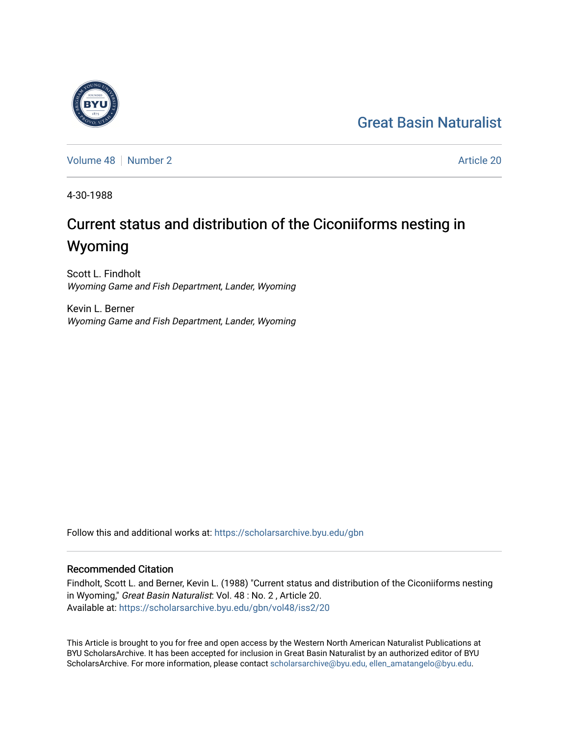# [Great Basin Naturalist](https://scholarsarchive.byu.edu/gbn)

[Volume 48](https://scholarsarchive.byu.edu/gbn/vol48) [Number 2](https://scholarsarchive.byu.edu/gbn/vol48/iss2) Article 20

4-30-1988

# Current status and distribution of the Ciconiiforms nesting in Wyoming

Scott L. Findholt Wyoming Game and Fish Department, Lander, Wyoming

Kevin L. Berner Wyoming Game and Fish Department, Lander, Wyoming

Follow this and additional works at: [https://scholarsarchive.byu.edu/gbn](https://scholarsarchive.byu.edu/gbn?utm_source=scholarsarchive.byu.edu%2Fgbn%2Fvol48%2Fiss2%2F20&utm_medium=PDF&utm_campaign=PDFCoverPages) 

# Recommended Citation

Findholt, Scott L. and Berner, Kevin L. (1988) "Current status and distribution of the Ciconiiforms nesting in Wyoming," Great Basin Naturalist: Vol. 48 : No. 2 , Article 20. Available at: [https://scholarsarchive.byu.edu/gbn/vol48/iss2/20](https://scholarsarchive.byu.edu/gbn/vol48/iss2/20?utm_source=scholarsarchive.byu.edu%2Fgbn%2Fvol48%2Fiss2%2F20&utm_medium=PDF&utm_campaign=PDFCoverPages) 

This Article is brought to you for free and open access by the Western North American Naturalist Publications at BYU ScholarsArchive. It has been accepted for inclusion in Great Basin Naturalist by an authorized editor of BYU ScholarsArchive. For more information, please contact [scholarsarchive@byu.edu, ellen\\_amatangelo@byu.edu.](mailto:scholarsarchive@byu.edu,%20ellen_amatangelo@byu.edu)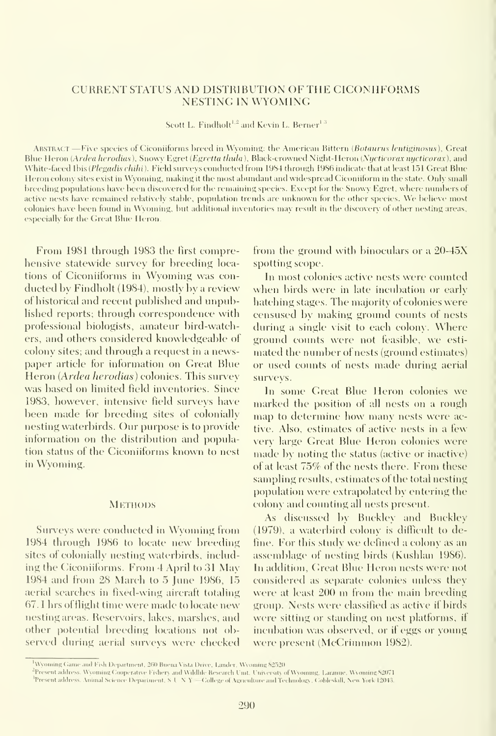### CURRENT STATUS AND DISTRIBUTION OF THE CICONIIFORMS NESTING IN WYOMING

Scott L. Findholt<sup>1,2</sup> and Kevin L. Berner<sup>13</sup>

ABSTRACT —Five species of Ciconiiforms breed in Wyoming: the American Bittern (Botaurus lentiginosus), Great Blue Heron (Ardea herodias), Snowy Egret (Egretta thula), Black-crowned Night-Heron (Nycticorax nycticorax), and White-faced Ibis (Plegadis chihi). Field surveys conducted from 1984 through 1986 indicate that at least 151 Great Blue Heron colony sites exist in Wyoming, making it the most abundant and widespread Ciconiiform in the state. Only small breeding populations have been discovered for the remaining species. Except for the Snowy Egret, where numbers of active nests have remained relatively stable, population trends are unknown lor the other species. We believe most colonies have been found in Wyoming, but additional inventories may result in the discovery of other nesting areas, especially for the Great Blue Heron.

From 1981 through 1983 the first comprehensive statewide survey for breeding loca tions of Ciconiiforms in Wyoming was con ducted by Findholt (1984), mostly by a review of historical and recent published and unpublished reports; through correspondence with professional biologists, amateur bird-watchers, and others considered knowledgeable of colony sites; and through a request in a newspaper article for information on Great Blue Heron {Ardea herodias) colonies. This survey was based on limited field inventories. Since 1983, however, intensive field surveys have been made for breeding sites of colonially nesting waterbirds. Our purpose is to provide information on the distribution and population status of the Ciconiiforms known to nest in Wyoming.

#### **METHODS**

Surveys were conducted in Wyoming from 1984 through 1986 to locate new breeding sites of colonially nesting waterbirds, including the Ciconiiforms. From 4 April to 31 May 1984 and from 28 March to 5 June 1986, 15 aerial searches in fixed-wing aircraft totaling 67. <sup>1</sup> hrs offlight time were made to locate new nesting areas. Reservoirs, lakes, marshes, and other potential breeding locations not observed during aerial survevs were checked

from the ground with binoculars or a 20-45X spotting scope.

In most colonies active nests were counted when birds were in late incubation or early hatching stages. The majority of colonies were censused by making ground counts of nests during <sup>a</sup> single visit to each colony. Where ground counts were not feasible, we esti mated the number of nests (ground estimates) or used counts of nests made dining aerial surveys.

In some Great Blue Heron colonies we marked the position of all nests on a rough map to determine how many nests were active. Also, estimates of active nests in a few very large Great Blue Heron colonies were made by noting the status (active or inactive) of at least  $75\%$  of the nests there. From these sampling results, estimates of the total nesting population were extrapolated by entering the colonx and counting all nests present.

As discussed by Buckley and Buckley (1979), a waterbird colony is difficult to define. For this study we defined a colony as an assemblage of nesting birds (Kushlan 1986). In addition, Great Blue Heron nests were not considered as separate colonies unless the\' were at least 200 m from the main breeding group. Nests were classified as active if birds were sitting or standing on nest platforms, if incubation was observed, or if eggs or young were present (McCrimmon 1982).

Wyoming Game and Fish Department. 260 Buena Vista Drive. Lander. Wyoming  $82520$ 

<sup>&</sup>lt;sup>2</sup>Present address; Wyoming Cooperative Fishery and Wildlife Research Unit, University of Wyommg, Laranue, Wyoming 52071.

<sup>&</sup>lt;sup>3</sup>Present address. Animal Science Department, S. U.N.Y.—College of Agriculture and Technology. Cobleskill, New York 12043.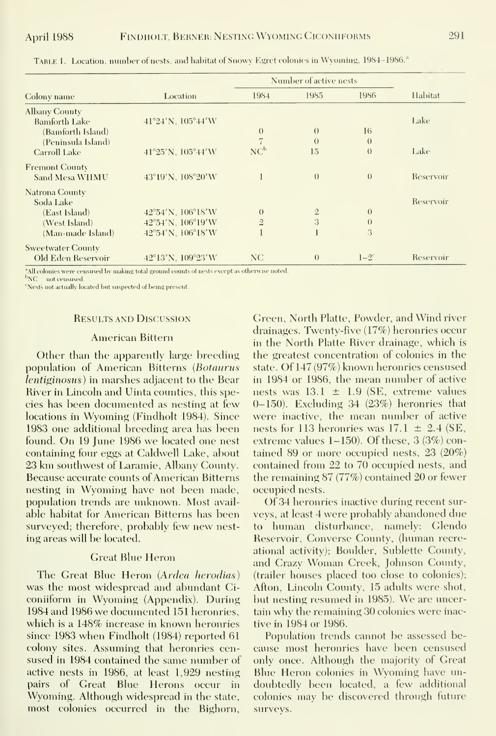| Colony name              |                                       | Number of active nests |              |                  |           |
|--------------------------|---------------------------------------|------------------------|--------------|------------------|-----------|
|                          | Location                              | 1984                   | 1985         | 1986             | Habitat   |
| <b>Albany County</b>     |                                       |                        |              |                  |           |
| Bamforth Lake            | $41^{\circ}24'$ N, $105^{\circ}44'$ W |                        |              |                  | Lake      |
| (Bamforth Island)        |                                       | $\Omega$               | $\theta$     | 16               |           |
| (Peninsula Island)       |                                       |                        | $\Omega$     | $\theta$         |           |
| Carroll Lake             | $41^{\circ}25'$ N, $105^{\circ}44'$ W | NC <sup>b</sup>        | 15           | $\theta$         | Lake      |
| <b>Fremont County</b>    |                                       |                        |              |                  |           |
| Sand Mesa WHMU           | 43°19'N, 108°20'W                     |                        | $\theta$     | $\left( \right)$ | Reservoir |
| Natrona County           |                                       |                        |              |                  |           |
| Soda Lake                |                                       |                        |              |                  | Reservoir |
| (East Island)            | 42°54'N, 106°18'W                     | $\left( \right)$       | $\mathbf{2}$ | $\theta$         |           |
| (West Island)            | 42°54'N, 106°19'W                     | $\overline{2}$         | 3            | $\theta$         |           |
| (Man-made Island)        | 42°54'N, 106°18'W                     |                        |              | 3                |           |
| <b>Sweetwater County</b> |                                       |                        |              |                  |           |
| Old Eden Reservoir       | 42°13'N, 109°23'W                     | NC.                    | $\theta$     | $1-2^{\circ}$    | Reservoir |

TABLE 1. Location, number of nests, and habitat of Snowy Egret colonies in Wyoming, 1984-1986.<sup>2</sup>

<sup>a</sup>All colonies were censused by making total ground counts of nests except as otherwise noted.

b<sub>NC</sub> not censused.

<sup>c</sup>Nests not actually located but suspected of being present

#### **RESULTS AND DISCUSSION**

#### **American Bittern**

Other than the apparently large breeding population of American Bitterns (Botaurus *lentiginosus*) in marshes adjacent to the Bear River in Lincoln and Uinta counties, this species has been documented as nesting at few locations in Wyoming (Findholt 1984). Since 1983 one additional breeding area has been found. On 19 June 1986 we located one nest containing four eggs at Caldwell Lake, about 23 km southwest of Laramie, Albany County. Because accurate counts of American Bitterns nesting in Wyoming have not been made, population trends are unknown. Most available habitat for American Bitterns has been surveyed; therefore, probably few new nesting areas will be located.

### **Great Blue Heron**

The Great Blue Heron (Ardea herodias) was the most widespread and abundant Ciconiiform in Wyoming (Appendix). During 1984 and 1986 we documented 151 heronries, which is a 148% increase in known heronries since 1983 when Findholt (1984) reported 61 colony sites. Assuming that heronries censused in 1984 contained the same number of active nests in 1986, at least 1,929 nesting pairs of Great Blue Herons occur in Wyoming. Although widespread in the state, most colonies occurred in the Bighorn,

Green, North Platte, Powder, and Wind river drainages. Twenty-five (17%) heronries occur in the North Platte River drainage, which is the greatest concentration of colonies in the state. Of 147 (97%) known heronries censused in 1984 or 1986, the mean number of active nests was  $13.1 \pm 1.9$  (SE, extreme values  $(0-150)$ . Excluding 34  $(23%)$  heronries that were inactive, the mean number of active nests for 113 heronries was  $17.1 \pm 2.4$  (SE, extreme values  $1-150$ ). Of these,  $3(3\%)$  contained 89 or more occupied nests,  $23$  (20%) contained from 22 to 70 occupied nests, and the remaining  $87(77%)$  contained 20 or fewer occupied nests.

Of 34 heronries inactive during recent surveys, at least 4 were probably abandoned due to human disturbance, namely: Glendo Reservoir, Converse County, (human recreational activity); Boulder, Sublette County, and Crazy Woman Creek, Johnson County, (trailer houses placed too close to colonies); Afton, Lincoln County, 15 adults were shot, but nesting resumed in 1985). We are uncertain why the remaining 30 colonies were inactive in 1984 or 1986.

Population trends cannot be assessed because most heronries have been censused only once. Although the majority of Great Blue Heron colonies in Wyoming have undoubtedly been located, a few additional colonies may be discovered through future surveys.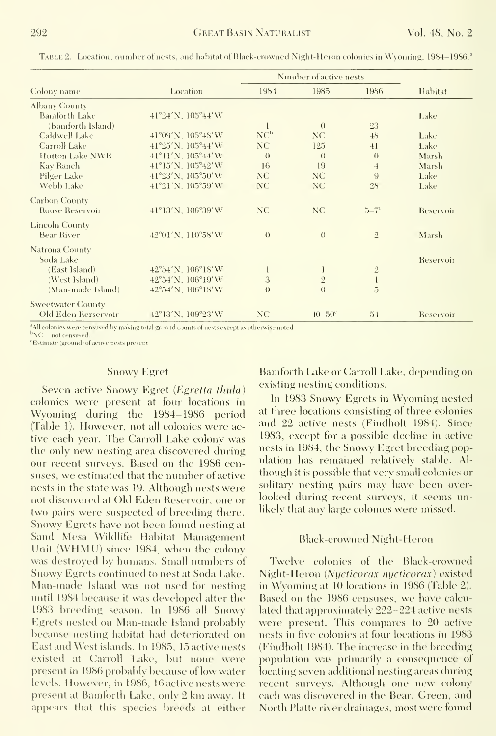|                          |                                       | Number of active nests |                   |                 |           |
|--------------------------|---------------------------------------|------------------------|-------------------|-----------------|-----------|
| Colony name              | Location                              | 1984                   | 1985              | 1986            | Habitat   |
| Albany County            |                                       |                        |                   |                 |           |
| <b>Bamforth Lake</b>     | $41^{\circ}24'$ N, $105^{\circ}44'$ W |                        |                   |                 | Lake      |
| (Bamforth Island)        |                                       |                        | $\theta$          | 23              |           |
| Caldwell Lake            | $41^{\circ}09'$ N, $105^{\circ}48'$ W | NC <sup>b</sup>        | NC.               | 48              | Lake      |
| Carroll Lake             | $41^{\circ}25'$ N, $105^{\circ}44'$ W | NC                     | 125               | 41              | Lake      |
| Hutton Lake NWR          | $41^{\circ}11'$ N, $105^{\circ}44'$ W | $\theta$               | $\left( \right)$  | $\theta$        | Marsh     |
| Kay Ranch                | $41^{\circ}15'$ N, $105^{\circ}42'$ W | 16                     | 19                | $\overline{4}$  | Marsh     |
| Pilger Lake              | 41°23'N, 105°50'W                     | NC.                    | NC.               | 9               | Lake      |
| Webb Lake                | $41^{\circ}21'$ N, $105^{\circ}59'$ W | <b>NC</b>              | NC.               | 2S              | Lake      |
| <b>Carbon County</b>     |                                       |                        |                   |                 |           |
| <b>Rouse Reservoir</b>   | 41°13'N, 106°39'W                     | <b>NC</b>              | NC                | $5 - 7^{\circ}$ | Reservoir |
| Lincoln County           |                                       |                        |                   |                 |           |
| Bear River               | 42°01'N, 110°58'W                     | $\theta$               | $\theta$          | $\overline{2}$  | Marsh     |
| Natrona County           |                                       |                        |                   |                 |           |
| Soda Lake                |                                       |                        |                   |                 | Reservoir |
| (East Island)            | 42°54'N, 106°18'W                     |                        |                   | $\overline{2}$  |           |
| (West Island)            | 42°54'N, 106°19'W                     | 3                      | $\sqrt{2}$        | $\mathbf{l}$    |           |
| (Man-made Island)        | 42°54'N, 106°18'W                     | $\theta$               | $\theta$          | $\overline{5}$  |           |
| <b>Sweetwater County</b> |                                       |                        |                   |                 |           |
| Old Eden Rerservoir      | 42°13'N, 109°23'W                     | NC                     | $40 - 50^{\circ}$ | 54              | Reservoir |

TABLE 2. Location, number of nests, and habitat of Black-crowned Night-Heron colonies in Wyoming, 1984–1986.<sup>3</sup>

<sup>4</sup>All colonies were censused by making total ground counts of nests except as otherwise noted

 ${}^{\rm b}{\rm NC}$  – not censused

'Estimate (ground) of active nests present

#### **Snowy Egret**

Seven active Snowy Egret (Egretta thula) colonies were present at four locations in Wyoming during the 1984–1986 period (Table 1). However, not all colonies were active each year. The Carroll Lake colony was the only new nesting area discovered during our recent surveys. Based on the 1986 censuses, we estimated that the number of active nests in the state was 19. Although nests were not discovered at Old Eden Reservoir, one or two pairs were suspected of breeding there. Snowy Egrets have not been found nesting at Sand Mesa Wildlife Habitat Management Unit (WHMU) since 1984, when the colony was destroyed by humans. Small numbers of Snowy Egrets continued to nest at Soda Lake. Man-made Island was not used for nesting until 1984 because it was developed after the 1983 breeding season. In 1986 all Snowy Egrets nested on Man-made Island probably because nesting habitat had deteriorated on East and West islands. In 1985, 15 active nests existed at Carroll Lake, but none were present in 1986 probably because of low water levels. However, in 1986, 16 active nests were present at Bamforth Lake, only 2 km away. It appears that this species breeds at either

Bamforth Lake or Carroll Lake, depending on existing nesting conditions.

In 1983 Snowy Egrets in Wyoming nested at three locations consisting of three colonies and 22 active nests (Findholt 1984). Since 1983, except for a possible decline in active nests in 1984, the Snowy Egret breeding population has remained relatively stable. Although it is possible that very small colonies or solitary nesting pairs may have been overlooked during recent surveys, it seems unlikely that any large colonies were missed.

#### **Black-crowned Night-Heron**

Twelve colonies of the Black-crowned Night-Heron (Nycticorax nycticorax) existed in Wyoming at 10 locations in 1986 (Table 2). Based on the 1986 censuses, we have calculated that approximately 222-224 active nests were present. This compares to 20 active nests in five colonies at four locations in 1983 (Findholt 1984). The increase in the breeding population was primarily a consequence of locating seven additional nesting areas during recent surveys. Although one new colony each was discovered in the Bear, Green, and North Platte river drainages, most were found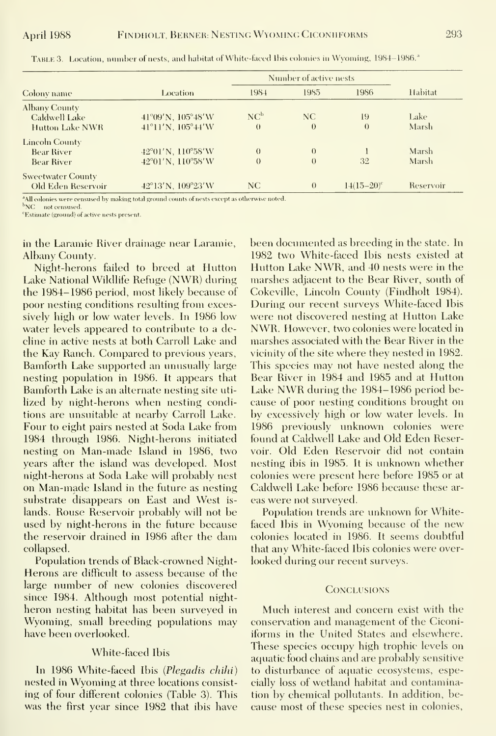| Location          | 1984                                                                            | 1985     | 1986                                                                                                                                                                                                                                                                                                                                                                                                                                                                                         | <b>Habitat</b>                                      |
|-------------------|---------------------------------------------------------------------------------|----------|----------------------------------------------------------------------------------------------------------------------------------------------------------------------------------------------------------------------------------------------------------------------------------------------------------------------------------------------------------------------------------------------------------------------------------------------------------------------------------------------|-----------------------------------------------------|
| 41°09'N, 105°48'W | NC <sup>b</sup>                                                                 | NC.      | 19                                                                                                                                                                                                                                                                                                                                                                                                                                                                                           | Lake                                                |
|                   | $\theta$                                                                        |          |                                                                                                                                                                                                                                                                                                                                                                                                                                                                                              | Marsh                                               |
|                   |                                                                                 |          |                                                                                                                                                                                                                                                                                                                                                                                                                                                                                              |                                                     |
|                   | $\overline{0}$                                                                  | $\Omega$ |                                                                                                                                                                                                                                                                                                                                                                                                                                                                                              | Marsh                                               |
| 42°01'N, 110°58'W | $\theta$                                                                        | $\Omega$ | 32                                                                                                                                                                                                                                                                                                                                                                                                                                                                                           | <b>Marsh</b>                                        |
|                   |                                                                                 |          |                                                                                                                                                                                                                                                                                                                                                                                                                                                                                              |                                                     |
|                   |                                                                                 |          |                                                                                                                                                                                                                                                                                                                                                                                                                                                                                              | Reservoir                                           |
|                   | $41^{\circ}11'$ N, $105^{\circ}44'$ W<br>42°01'N, 110°58'W<br>42°13'N, 109°23'W | NC       | $\theta$<br>$\left( \right)$<br>$\mathbf{A} \cdot \mathbf{B} = \mathbf{A} \cdot \mathbf{A} + \mathbf{A} \cdot \mathbf{A} + \mathbf{A} \cdot \mathbf{A} + \mathbf{A} \cdot \mathbf{A} + \mathbf{A} \cdot \mathbf{A} + \mathbf{A} \cdot \mathbf{A} + \mathbf{A} \cdot \mathbf{A} + \mathbf{A} \cdot \mathbf{A} + \mathbf{A} \cdot \mathbf{A} + \mathbf{A} \cdot \mathbf{A} + \mathbf{A} \cdot \mathbf{A} + \mathbf{A} \cdot \mathbf{A} + \mathbf{A} \cdot \mathbf{A} + \mathbf{A} \cdot \math$ | Number of active nests<br>$\theta$<br>$14(15-20)^c$ |

TABLE 3. Location, number of nests, and habitat of White-faced Ibis colonies in Wyoming, 1984-1986.<sup>a</sup>

<sup>\*</sup>All colonies were censused by making total ground counts of nests except as otherwise noted

 $bNC$  not censused.

<sup>e</sup>Estimate (ground) of active nests present.

in the Laramie River drainage near Laramie, Albany County.

Night-herons failed to breed at Hutton Lake National Wildlife Refuge (NWR) during the 1984–1986 period, most likely because of poor nesting conditions resulting from excessively high or low water levels. In 1986 low water levels appeared to contribute to a decline in active nests at both Carroll Lake and the Kay Ranch. Compared to previous years, Bamforth Lake supported an unusually large nesting population in 1986. It appears that Bamforth Lake is an alternate nesting site utilized by night-herons when nesting conditions are unsuitable at nearby Carroll Lake. Four to eight pairs nested at Soda Lake from 1984 through 1986. Night-herons initiated nesting on Man-made Island in 1986, two years after the island was developed. Most night-herons at Soda Lake will probably nest on Man-made Island in the future as nesting substrate disappears on East and West islands. Rouse Reservoir probably will not be used by night-herons in the future because the reservoir drained in 1986 after the dam collapsed.

Population trends of Black-crowned Night-Herons are difficult to assess because of the large number of new colonies discovered since 1984. Although most potential nightheron nesting habitat has been surveyed in Wyoming, small breeding populations may have been overlooked.

### White-faced Ibis

In 1986 White-faced Ibis (Plegadis chihi) nested in Wyoming at three locations consisting of four different colonies (Table 3). This was the first year since 1982 that ibis have been documented as breeding in the state. In 1982 two White-faced Ibis nests existed at Hutton Lake NWR, and 40 nests were in the marshes adjacent to the Bear River, south of Cokeville, Lincoln County (Findholt 1984). During our recent surveys White-faced Ibis were not discovered nesting at Hutton Lake NWR. However, two colonies were located in marshes associated with the Bear River in the vicinity of the site where they nested in 1982. This species may not have nested along the Bear River in 1984 and 1985 and at Hutton Lake NWR during the 1984–1986 period because of poor nesting conditions brought on by excessively high or low water levels. In 1986 previously unknown colonies were found at Caldwell Lake and Old Eden Reservoir. Old Eden Reservoir did not contain nesting ibis in 1985. It is unknown whether colonies were present here before 1985 or at Caldwell Lake before 1986 because these areas were not surveyed.

Population trends are unknown for Whitefaced Ibis in Wyoming because of the new colonies located in 1986. It seems doubtful that any White-faced Ibis colonies were overlooked during our recent surveys.

#### **CONCLUSIONS**

Much interest and concern exist with the conservation and management of the Ciconiiforms in the United States and elsewhere. These species occupy high trophic levels on aquatic food chains and are probably sensitive to disturbance of aquatic ecosystems, especially loss of wetland habitat and contamination by chemical pollutants. In addition, because most of these species nest in colonies,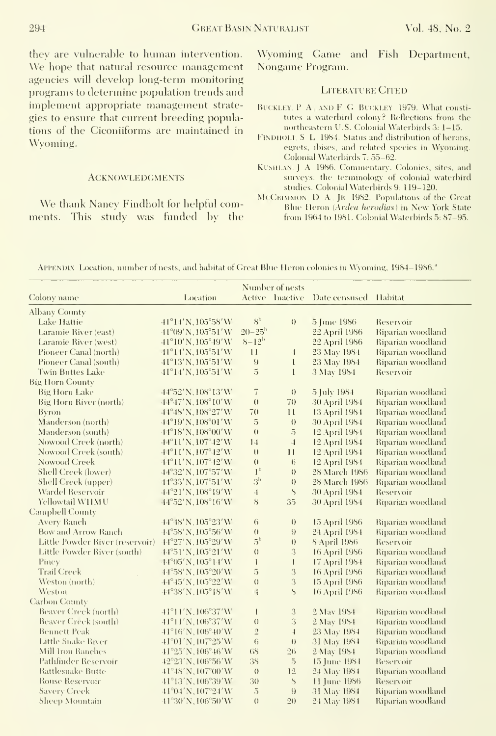they are vulnerable to human intervention. We hope that natural resource management agencies will develop long-term monitoring programs to determine population trends and implement appropriate management strate gies to ensure that current breeding populations of the Ciconiiforms are maintained in Wyoming.

#### **ACKNOWLEDGMENTS**

We thank Nancy Findholt for helpful comments. This studv was funded bv the Wyoming Game and Fish Department, Nongame Program.

## LITERATURE CITED

- BUCKLEY, P A AND F G BUCKLEY 1979. What constitutes a waterhird colony? Reflections from the northeastern U.S. Colonial Waterbirds 3: 1-15.
- FINDHOLT, S. L. 1984. Status and distribution of herons, egrets, ibises, and related species in Wyoming. Colonial Waterbirds 7: 55-62.
- KUSHLAN. J. A. 1986. Commentary. Colonies, sites, and surveys: the terminology of colonial waterhird studies. Colonial Waterbirds 9; 119-120.
- McCRIMMON, D. A., JR 1982. Populations of the Great Blue Heron (Ardea herodias) in New York State from 1964 to 1981. Colonial Waterbirds 5; 87-95.

APPENDIX Location, number of nests, and habitat of Great Blue Heron colonies in Wyoming, 1984–1986.<sup>a</sup>

|                                 |                                        |                   | Number of nests    |                       |                   |
|---------------------------------|----------------------------------------|-------------------|--------------------|-----------------------|-------------------|
| Colony name                     | Location                               |                   | Active Inactive    | Date censused Habitat |                   |
| <b>Albany County</b>            |                                        |                   |                    |                       |                   |
| Lake Hattie                     | $41^{\circ}14'$ N, $105^{\circ}58'$ W  | $S^{\rm b}$       | $\theta$           | 5 June 1986           | Reservoir         |
| Laramie River (east)            | 41°09'N, 105°51'W                      | $20 - 25^{\rm b}$ |                    | 22 April 1986         | Riparian woodland |
| Laramie River (west)            | $41^{\circ}10'$ N, $105^{\circ}49'$ W  | $8 - 12^{\rm b}$  |                    | 22 April 1986         | Riparian woodland |
| Pioneer Canal (north)           | 41°14'N, 105°51'W                      | 11                | $\cdot \mathbf{1}$ | 23 May 1984           | Riparian woodland |
| Pioneer Canal (south)           | 41°13'N, 105°51'W                      | 9                 | $\mathbf{I}$       | 23 May 1984           | Riparian woodland |
| <b>Twin Buttes Lake</b>         | $41^{\circ}14'$ N, $105^{\circ}51'$ W  | $\overline{5}$    | $\mathbf{I}$       | 3 May 1984            | Reservoir         |
| <b>Big Horn County</b>          |                                        |                   |                    |                       |                   |
| <b>Big Horn Lake</b>            | 44°52'N, 108°13'W                      | $\overline{I}$    | $\left( \right)$   | 5 July 1984           | Riparian woodland |
| <b>Big Horn River (north)</b>   | 44°47'N, 108°10'W                      | $\theta$          | 70                 | 30 April 1984         | Riparian woodland |
| Byron                           | 44°48'N, 108°27'W                      | 70                | 11                 | 13 April 1984         | Riparian woodland |
| Manderson (north)               | 44°19'N, 108°01'W                      | $\overline{5}$    | $\theta$           | 30 April 1984         | Riparian woodland |
| Manderson (south)               | 44°18'N, 108°00'W                      | $\theta$          | $\overline{5}$     | 12 April 1984         | Riparian woodland |
| Nowood Creek (north)            | 44°11'N, 107°42'W                      | 14                | $\overline{4}$     | 12 April 1984         | Riparian woodland |
| Nowood Creek (south)            | $44^{\circ}11'$ N, $107^{\circ}42'$ W  | $\cup$            | $\overline{11}$    | 12 April 1984         | Riparian woodland |
| Nowood Creek                    | $44^{\circ}11'$ N, $107^{\circ}42'$ W  | $\theta$          | $6\overline{6}$    | 12 April 1984         | Riparian woodland |
| Shell Creek (lower)             | 44°32'N, 107°57'W                      | 1 <sup>b</sup>    | $\theta$           | 28 March 1986         | Riparian woodland |
| Shell Creek (upper)             | 44°33'N, 107°51'W                      | 3 <sup>b</sup>    | $\theta$           | 28 March 1986         | Riparian woodland |
| Wardel Reservoir                | 44°21'N, 108°19'W                      | $\overline{4}$    | S                  | 30 April 1984         | Reservoir         |
| Yellowtail W11MU                | $44^{\circ}52'$ N, $108^{\circ}16'$ W  | S                 | 35                 | 30 April 1984         | Riparian woodland |
| <b>Campbell County</b>          |                                        |                   |                    |                       |                   |
| <b>Avery Ranch</b>              | 44°48'N, 105°23'W                      | 6                 | $\theta$           | 15 April 1986         | Riparian woodland |
| <b>Bow and Arrow Ranch</b>      | 44°58'N, 105°56'W                      | ()                | $\overline{9}$     | 24 April 1984         | Riparian woodland |
| Little Powder River (reservoir) | 44°27'N, 105°29'W                      | 5 <sup>b</sup>    | $\theta$           | 8 April 1986          | Reservoir         |
| Little Powder River (south)     | 44°51'N, 105°21'W                      | ()                | 3                  | 16 April 1986         | Riparian woodland |
| Piney                           | 44°05'N, 105°14'W                      | $\mathbf{I}$      | $\mathbf{1}$       | 17 April 1984         | Riparian woodland |
| <b>Trail Creek</b>              | 44°58'N, 105°20'W                      | 5                 | 3                  | 16 April 1986         | Riparian woodland |
| Weston (north)                  | 44°45'N, 105°22'W                      | $\theta$          | 3                  | 15 April 1986         | Riparian woodland |
| Weston                          | 44°38'N, 105°18'W                      | $\mathfrak{t}$    | S                  | 16 April 1986         | Riparian woodland |
| Carbon County                   |                                        |                   |                    |                       |                   |
| Beaver Creek (north)            | $-41^{\circ}11'$ N, $106^{\circ}37'$ W | I                 | 3                  | 2 May 1984            | Riparian woodland |
| Beaver Creek (south)            | 41°11'N, 106°37'W                      | $\left( \right)$  | 3                  | 2 May 1984            | Riparian woodland |
| <b>Bennett Peak</b>             | $41^{\circ}16'$ N, $106^{\circ}40'$ W  | $\overline{2}$    | $\cdot 1$          | 23 May 1984           | Riparian woodland |
| Little Snake River              | $41^{\circ}01'$ N, $107^{\circ}25'$ W  | 6                 | $\theta$           | 31 May 1984           | Riparian woodland |
| Mill Iron Ranches               | 41°25′N, 106°46′W                      | 68                | 26                 | 2 May 1984            | Riparian woodland |
| Pathfinder Reservoir            | 42°23'N, 106°56'W                      | 38                | $\overline{5}$     | 15 June 1984          | Reservoir         |
| Rattlesnake Butte               | 41°48'N, 107°00'W                      | ()                | 12                 | 24 May 1984           | Riparian woodland |
| <b>Rouse Reservoir</b>          | 41°13'N, 106°39'W                      | 30                | $\bf S$            | 11 June 1986          | Reservoir         |
| <b>Savery Creek</b>             | $41^{\circ}04'$ N, $107^{\circ}24'$ W  | $\overline{5}$    | $\Omega$           | 31 May 1984           | Riparian woodland |
| Sheep Mountain                  | 41°30'N, 106°50'W                      | $\theta$          | 20                 | 24 May 1984           | Riparian woodland |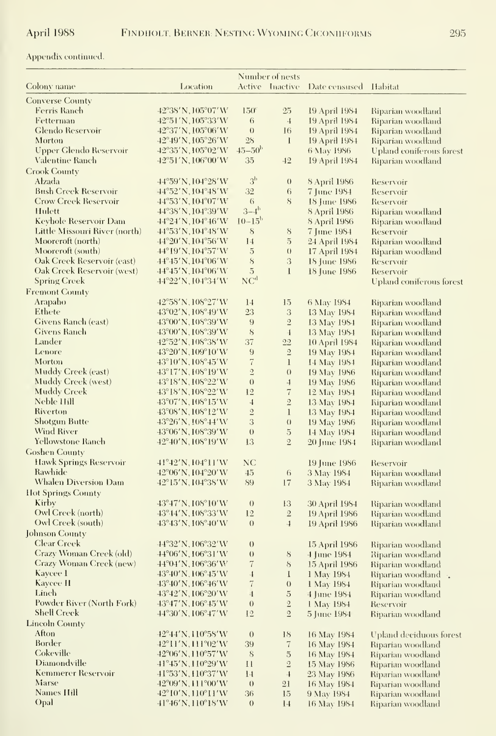# Appendix continued.  $\;$

|                                                    | Number of nests                       |                      |                          |                                |                                        |
|----------------------------------------------------|---------------------------------------|----------------------|--------------------------|--------------------------------|----------------------------------------|
| Colony name                                        | Location                              |                      | Active Inactive          | Date censused                  | <b>Habitat</b>                         |
| <b>Converse County</b>                             |                                       |                      |                          |                                |                                        |
| <b>Ferris Ranch</b>                                | 42°38'N, 105°07'W                     | $150^{\circ}$        | $25\,$                   | 19 April 1984                  | Riparian woodland                      |
| Fetterman                                          | 42°51′N,105°33′W                      | 6                    | $\overline{4}$           | 19 April 1984                  | Riparian woodland                      |
| Glendo Reservoir                                   | 42°37'N, 105°06'W                     | $\left( \right)$     | 16                       | 19 April 1984                  | Riparian woodland                      |
| Morton                                             | 42°49′N,105°26′W                      | 28                   | $\mathbf{l}$             | 19 April 1984                  | Riparian woodland                      |
| Upper Glendo Reservoir                             | 42°35'N, 105°02'W                     | $45 - 50b$           |                          | 6 May 1986                     | Upland coniferous forest               |
| Valentine Ranch                                    | $42^{\circ}51'$ N, $106^{\circ}00'$ W | 35                   | 42                       | 19 April 1984                  | Riparian woodland                      |
| <b>Crook County</b>                                |                                       |                      |                          |                                |                                        |
| Alzada                                             | 44°59'N, 104°28'W                     | 3 <sup>b</sup>       | $\theta$                 | 8 April 1986                   | Reservoir                              |
| <b>Bush Creek Reservoir</b>                        | $44^{\circ}52'$ N, $104^{\circ}48'$ W | 32                   | 6                        | 7 June 1984                    | Reservoir                              |
| <b>Crow Creek Reservoir</b>                        | 44°53′N,104°07′W                      | $\sqrt{6}$           | 8                        | 18 June 1986                   | Reservoir                              |
| Hulett                                             | 44°38'N, 104°39'W                     | $3-4^{\rm b}$        |                          | 8 April 1986                   | Riparian woodland                      |
| Keyhole Reservoir Dam                              | $44^{\circ}24'$ N, $104^{\circ}46'$ W | $10 - 15^{\rm b}$    |                          | 8 April 1986                   | Riparian woodland                      |
| Little Missouri River (north)<br>Mooreroft (north) | 44°53′N,104°48′W                      | 8                    | $8\,$<br>$\overline{5}$  | 7 June 1984                    | Reservoir                              |
| Mooreroft (south)                                  | 44°20′N,104°56′W<br>44°19′N,104°57′W  | 14<br>$\overline{5}$ | $\left( \right)$         | 24 April 1984<br>17 April 1984 | Riparian woodland<br>Riparian woodland |
| Oak Creek Reservoir (east)                         | 44°45′N,104°06′W                      | $\mathbf{s}$         | 3                        | 18 June 1986                   | Reservoir                              |
| Oak Creek Reservoir (west)                         | $44^{\circ}45'$ N, $104^{\circ}06'$ W | $\overline{5}$       | l                        | 18 June 1986                   | Reservoir                              |
| <b>Spring Creek</b>                                | 44°22'N, 104°34'W                     | NC <sup>d</sup>      |                          |                                | Upland coniferous forest               |
| <b>Fremont County</b>                              |                                       |                      |                          |                                |                                        |
| Arapaho                                            | 42°58'N, 108°27'W                     | 14                   | 15                       | 6 May 1984                     | Riparian woodland                      |
| Ethete                                             | 43°02′N, 108°49′W                     | 23                   | 3                        | 13 May 1984                    | Riparian woodland                      |
| Givens Ranch (east)                                | 43°00′N,108°39′W                      | 9                    | $\overline{2}$           | 13 May 1984                    | Riparian woodland                      |
| <b>Givens Ranch</b>                                | 43°00′N,108°39′W                      | 8                    | $\overline{1}$           | 13 May 1984                    | Riparian woodland                      |
| Lander                                             | 42°52′N,108°38′W                      | 37                   | $22\,$                   | 10 April 1984                  | Riparian woodland                      |
| Lenore                                             | 43°20'N, 109°10'W                     | 9                    | $\sqrt{2}$               | 19 May 1984                    | Riparian woodland                      |
| Morton                                             | 43°10′N,108°45′W                      | $\overline{7}$       | $\mathbf{1}$             | 14 May 1984                    | Riparian woodland                      |
| Muddy Creek (east)                                 | 43°17′N,108°19′W                      | $\overline{2}$       | $\theta$                 | 19 May 1986                    | Riparian woodland                      |
| <b>Muddy Creek</b> (west)                          | 43°18′N, 108°22′W                     | $\theta$             | $\overline{4}$           | 19 May 1986                    | Riparian woodland                      |
| <b>Muddy Creek</b>                                 | 43°18′N,108°22′W                      | 12                   | $\overline{\mathcal{U}}$ | 12 May 1984                    | Riparian woodland                      |
| Neble Hill                                         | 43°07′N,108°15′W                      | $\overline{4}$       | $\overline{2}$           | 13 May 1984                    | Riparian woodland                      |
| Riverton                                           | 43°08′N,108°12′W                      | $\mathfrak{2}$       | $\mathbf{1}$             | 13 May 1984                    | Riparian woodland                      |
| Shotgun Butte                                      | 43°26′N,108°44′W                      | 3                    | $\Omega$                 | 19 May 1986                    | Riparian woodland                      |
| Wind River                                         | 43°06′N, 108°39′W                     | $\theta$             | $\overline{5}$           | 14 May 1984                    | Riparian woodland                      |
| Yellowstone Ranch                                  | $42^{\circ}40'$ N, $108^{\circ}19'$ W | 13                   | $\mathbf{2}$             | 20 June 1984                   | Riparian woodland                      |
| <b>Goshen County</b>                               |                                       |                      |                          |                                |                                        |
| <b>Hawk Springs Reservoir</b>                      | 41°42'N, 104°11'W                     | NC                   |                          | 19 June 1986                   | Reservoir                              |
| Rawhide                                            | 42°06′N, 104°20′W                     | 45                   | 6                        | 3 May 1984                     | Riparian woodland                      |
| Whalen Diversion Dam                               | 42°15′N, 104°38′W                     | 89                   | 17                       | 3 May 1984                     | Riparian woodland                      |
| <b>Hot Springs County</b><br>Kirby                 |                                       |                      |                          |                                |                                        |
| Owl Creek (north)                                  | 43°47′N,108°10′W<br>43°44'N, 108°33'W | $\theta$<br>12       | 13<br>$\overline{2}$     | 30 April 1984<br>19 April 1986 | Riparian woodland<br>Riparian woodland |
| Owl Creek (south)                                  | 43°43′N, 108°40′W                     | $\theta$             | $\overline{4}$           | 19 April 1986                  | Riparian woodland                      |
| Johnson County                                     |                                       |                      |                          |                                |                                        |
| <b>Clear Creek</b>                                 | 44°32'N, 106°32'W                     | $\theta$             |                          | 15 April 1986                  | Riparian woodland                      |
| Crazy Woman Creek (old)                            | 44°06'N, 106°31'W                     | $\theta$             | 8                        | 4 June 1984                    | Riparian woodland                      |
| <b>Crazy Woman Creek</b> (new)                     | 44°04'N, 106°36'W                     | $\,7$                |                          | 8 15 April 1986                | Riparian woodland                      |
| Kaycee 1                                           | 43°40′N,106°45′W                      | $\overline{1}$       | $\bf{l}$                 | 1 May 1984                     | Riparian woodland                      |
| Kaycee II                                          | 43°40'N, 106°46'W                     | $\overline{7}$       | $\left( \right)$         | 1 May 1984                     | Riparian woodland                      |
| Linch                                              | 43°42'N, 106°20'W                     | $\overline{4}$       | $\overline{5}$           | 4 June 1984                    | Riparian woodland                      |
| Powder River (North Fork)                          | 43°47'N, 106°45'W                     | $\left( \right)$     | $\overline{2}$           | 1 May 1984                     | Reservoir                              |
| <b>Shell Creek</b>                                 | 44°30'N, 106°47'W                     | 12                   | $\overline{2}$           | 5 June 1984                    | Riparian woodland                      |
| Lincoln County                                     |                                       |                      |                          |                                |                                        |
| Afton                                              | 42°44'N, 110°58'W                     | $\theta$             | 18                       | 16 May 1984                    | Upland deciduous forest                |
| Border                                             | 42°11'N, 111°02'W                     | 39                   | $\,7$                    | 16 May 1984                    | Riparian woodland                      |
| Cokeville                                          | 42°06′N,110°57′W                      | 8                    | $\overline{5}$           | 16 May 1984                    | Riparian woodland                      |
| Diamondville                                       | 41°45′N,110°29′W                      | $\mathbf{1}$         | $\sqrt{2}$               | 15 May 1986                    | Riparian woodland                      |
| Kemmerer Reservoir                                 | 41°53′N, H0°37′W                      | 14                   | $\overline{1}$           | 23 May 1986                    | Riparian woodland                      |
| Marse                                              | 42°09′N, 111°00′W                     | $\theta$             | 21                       | 16 May 1984                    | Riparian woodland                      |
| <b>Names Hill</b>                                  | 42°10′N,110°11′W                      | 36                   | 15                       | 9 May 1984                     | Riparian woodland                      |
| Opal                                               | 41°46′N,110°18′W                      | $\theta$             | 14                       | 16 May 1984                    | Riparian woodland                      |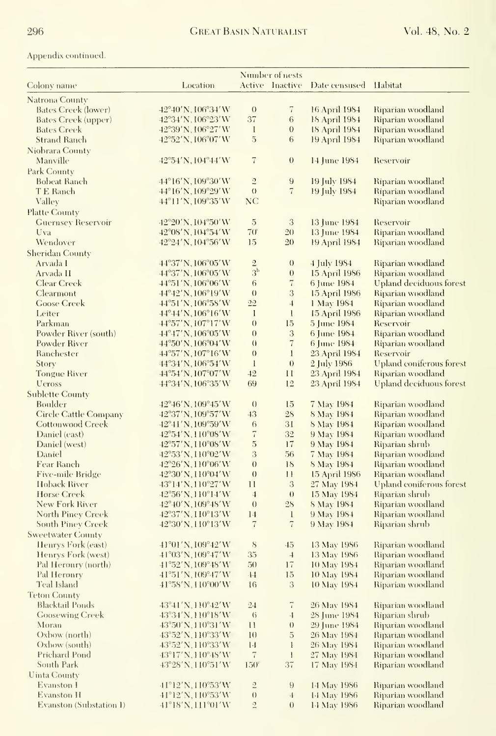Appendix continued.

|                              |                                        | Number of nests            |                    |                       |                          |
|------------------------------|----------------------------------------|----------------------------|--------------------|-----------------------|--------------------------|
| Colony name                  | Location                               |                            | Active Inactive    | Date censused Habitat |                          |
| Natrona County               |                                        |                            |                    |                       |                          |
| Bates Creek (lower)          | 42°40'N, 106°34'W                      | $\theta$                   | $\overline{7}$     | 16 April 1984         | Riparian woodland        |
| Bates Creek (upper)          | 42°34'N, 106°23'W                      | 37                         | $\,6\,$            | 18 April 1984         | Riparian woodland        |
| <b>Bates Creek</b>           | 42°39'N, 106°27'W                      | $\mathbf{I}$               | $\overline{0}$     | 18 April 1984         | Riparian woodland        |
| <b>Strand Ranch</b>          | 42°52'N, 106°07'W                      | 5                          | 6                  | 19 April 1984         | Riparian woodland        |
| Niobrara County              |                                        |                            |                    |                       |                          |
| Manville                     | $42^{\circ}54'$ N, $104^{\circ}44'$ W  | $\overline{7}$             | $\boldsymbol{0}$   | 14 June 1984          | Reservoir                |
| Park County                  |                                        |                            |                    |                       |                          |
| <b>Bobeat Ranch</b>          | $44^{\circ}16'$ N, $109^{\circ}30'$ W  | $\sqrt{2}$                 | 9                  | 19 July 1984          | Riparian woodland        |
| TE Ranch                     | $44^{\circ}16'$ N, $109^{\circ}29'$ W  | $\left(\right)$            | $\overline{7}$     | 19 July 1984          | Riparian woodland        |
| Valley                       | 44°11'N, 109°35'W                      | NC                         |                    |                       | Riparian woodland        |
| <b>Platte County</b>         |                                        |                            |                    |                       |                          |
| <b>Guernsey Reservoir</b>    | $42^{\circ}20'$ N, $104^{\circ}50'$ W  | $\overline{5}$             | 3                  | 13 June 1984          | Reservoir                |
| Uva                          | 42°08' N, 104°54' W                    | $70^{\circ}$               | 20                 | 13 June 1984          | Riparian woodland        |
| Wendover                     | $42^{\circ}24'$ N, $104^{\circ}56'$ W  | 15                         | 20                 | 19 April 1984         | Riparian woodland        |
| Sheridan County              |                                        |                            |                    |                       |                          |
| Arvada I                     | $44^{\circ}37'$ N, $106^{\circ}05'$ W  |                            | $\theta$           | 4 July 1984           | Riparian woodland        |
| Arvada II                    | $44^{\circ}37'$ N, $106^{\circ}05'$ W  | $\frac{2}{3^{\mathrm{b}}}$ | $\theta$           | 15 April 1986         | Riparian woodland        |
| Clear Creek                  | $44^{\circ}51'$ N, $106^{\circ}06'$ W  | 6                          | $\scriptstyle{7}$  | 6 June 1984           | Upland deciduous forest  |
| Clearmont                    | 44°42'N, 106°19'W                      | $\theta$                   | 3                  | 15 April 1986         | Riparian woodland        |
| <b>Goose Creek</b>           | $44^{\circ}51'$ N, $106^{\circ}58'$ W  | 22                         | $\overline{4}$     | 1 May 1984            | Riparian woodland        |
| Leiter                       | $44^{\circ}44'$ N, $106^{\circ}16'$ W  | $\mathbf{I}$               | $\mathbf{I}$       | 15 April 1986         | Riparian woodland        |
| Parkman                      | $44^{\circ}57'$ N, $107^{\circ}17'$ W  | $\theta$                   | 15                 | 5 June 1984           | Reservoir                |
| Powder River (south)         | 44°47'N, 106°05'W                      | $\theta$                   | 3                  | 6 June 1984           | Riparian woodland        |
| Powder River                 | 44°50'N, 106°04'W                      | $\theta$                   | $\overline{7}$     | 6 June 1984           | <u>Riparian woodland</u> |
| Ranchester                   | 44°57'N, 107°16'W                      | $\theta$                   | $\mathbf{1}$       | 23 April 1984         | Reservoir                |
| Story                        | $44^{\circ}34'$ N, $106^{\circ}54'$ W  | $\mathbf{1}$               | $\theta$           | 2 July 1986           | Upland coniferous forest |
| <b>Tongue River</b>          | $44^{\circ}54'$ N, $107^{\circ}07'$ W  | 42                         | П                  | 23 April 1984         | Riparian woodland        |
| <b>Ueross</b>                | 44°34′N, 106°35′W                      | 69                         | 12                 | 23 April 1984         | Upland deciduous forest  |
| <b>Sublette County</b>       |                                        |                            |                    |                       |                          |
| Boulder                      | $42^{\circ}46'$ N, $109^{\circ}45'$ W  | $\theta$                   | 15                 | 7 May 1984            | Riparian woodland        |
| <b>Circle Cattle Company</b> | $42^{\circ}37'$ N, $109^{\circ}57'$ W  | 43                         | 28                 | 8 May 1984            | Riparian woodland        |
| <b>Cottonwood Creek</b>      | $42^{\circ}41'$ N, $109^{\circ}59'$ W  | 6                          | 31                 | 8 May 1984            | Riparian woodland        |
| Daniel (east)                | $42^{\circ}54'$ N, $110^{\circ}08'$ W  | $\overline{\iota}$         | 32                 | 9 May 1984            | Riparian woodland        |
| Daniel (west)                | 42°57'N, 110°08'W                      | 5                          | 17                 | 9 May 1984            | Riparian shrub           |
| Daniel                       | $42^{\circ}53'$ N, 110 $^{\circ}02'$ W | 3                          | 56                 | 7 May 1984            | Riparian woodland        |
| Fear Ranch                   | 42°26'N,110°06'W                       | $\theta$                   | 18                 | 8 May 1984            | Riparian woodland        |
| Five-mile Bridge             | $42^{\circ}30'$ N, $110^{\circ}04'$ W  | $\theta$                   | $\mathbf{1}$       | 15 April 1986         | Riparian woodland        |
| Hoback River                 | $43^{\circ}14'$ N, 110 $^{\circ}27'$ W | П                          | $\mathfrak{Z}$     | 27 May 1984           | Upland coniferous forest |
| Horse Creek                  | 42°56'N, H0°14'W                       | $\overline{4}$             | $\theta$           | 15 May 1984           | Riparian shrub           |
| New Fork River               | 42°40'N, 109°48'W                      | $\theta$                   | 28                 | <b>8 May 1984</b>     | Riparian woodland        |
| North Piney Creek            | 42°37'N, H0°13'W                       | 14                         | $\mathbf{1}$       | 9 May 1984            | Riparian woodland        |
| <b>South Piney Creek</b>     | 42°30'N, 110°13'W                      | $\overline{7}$             | 7                  | 9 May 1984            | Riparian shrub           |
| <b>Sweetwater County</b>     |                                        |                            |                    |                       |                          |
| Henrys Fork (east)           | $41^{\circ}01'$ N, $109^{\circ}42'$ W  | 8                          | $45\,$             | 13 May 1986           | Riparian woodland        |
| Henrys Fork (west)           | $41^{\circ}03'$ N, $109^{\circ}47'$ W  | 35                         | $\overline{4}$     | 13 May 1986           | Riparian woodland        |
| Pal Heroury (north)          | 41°52′N, 109°48′W                      | 50                         | $17\,$             | 10 May 1984           | Riparian woodland        |
| Pal Heronry                  | 41°51'N, 109°47'W                      | $\cdot 14$                 | 15                 | 10 May 1984           | Riparian woodland        |
| Teal Island                  | $41^{\circ}58'$ N, $110^{\circ}00'$ W  | 16                         | $\sqrt{3}$         | 10 May 1984           | Riparian woodland        |
| <b>Teton County</b>          |                                        |                            |                    |                       |                          |
| <b>Blacktail Ponds</b>       | 43°41'N, 110°42'W                      | $2-1$                      | $\overline{\tau}$  | 26 May 1984           | Riparian woodland        |
| <b>Goosewing Creek</b>       | 43°34′N,110°18′W                       | $\mathfrak{h}$             | $\frac{1}{2}$      | 28 June 1984          | Riparian shrub           |
| Moran                        | $43^{\circ}50'$ N, $110^{\circ}31'$ W  | $\mathbf{1}$               | $\left( \right)$   | 29 June 1984          | Riparian woodland        |
| Oxbow (north)                | 43°52'N, H0°33'W                       | 1 <sub>0</sub>             | $\mathbf 5$        | 26 May 1984           | Riparian woodland        |
| Oxbow (south)                | 43°52' N, 110°33' W                    | $\lfloor . \rfloor$        | $\mathbf{I}$       | 26 May 1984           | Riparian woodland        |
| Prichard Pond                | 43°17'N, 110°48'W                      | $\overline{i}$             | $\mathbf{I}$       | 27 May 1984           | Riparian woodland        |
| South Park                   | $43^{\circ}28'$ N, H0 $^{\circ}51'$ W  | 150 <sup>c</sup>           | 37                 | 17 May 1984           | Riparian woodland        |
| <b>Uinta County</b>          |                                        |                            |                    |                       |                          |
| Evanston 1                   | $41^{\circ}12'$ N, $110^{\circ}53'$ W  | $\overline{2}$             | $\theta$           | 14 May 1986           | Riparian woodland        |
| <b>Evanston H</b>            | $41^{\circ}12'$ N, $110^{\circ}53'$ W  | $\left( \right)$           | $\cdot \mathbf{I}$ | 14 May 1986           | Riparian woodland        |
| Evanston (Substation 1)      | 41°18′N, 111°01′W                      | $\overline{2}$             | $\theta$           | 14 May 1986           | Riparian woodland        |
|                              |                                        |                            |                    |                       |                          |